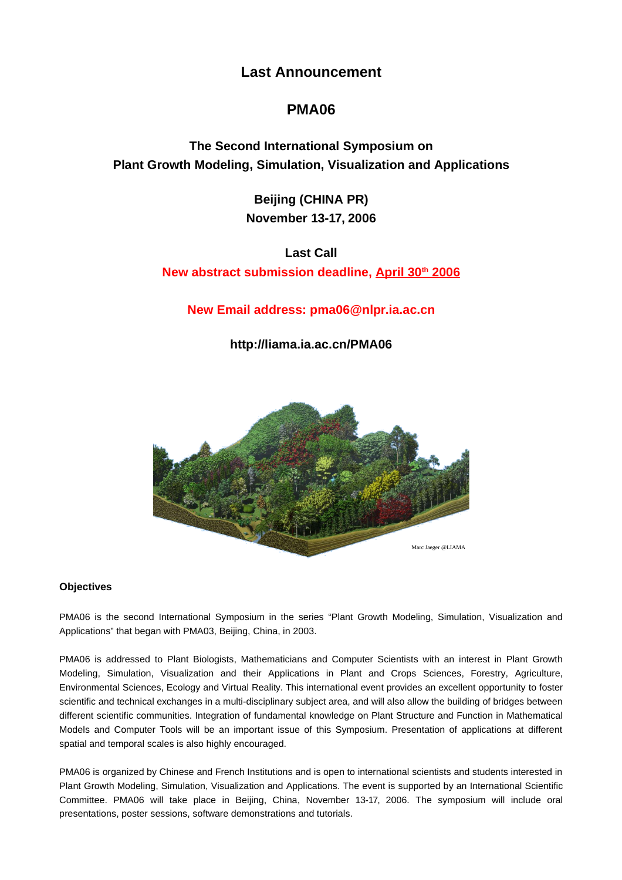# **Last Announcement**

# **PMA06**

**The Second International Symposium on Plant Growth Modeling, Simulation, Visualization and Applications**

> **Beijing (CHINA PR) November 13-17, 2006**

**Last Call New abstract submission deadline, April 30 th 2006**

**New Email address: pma06@nlpr.ia.ac.cn**

**http://liama.ia.ac.cn/PMA06**



# **Objectives**

PMA06 is the second International Symposium in the series "Plant Growth Modeling, Simulation, Visualization and Applications" that began with PMA03, Beijing, China, in 2003.

PMA06 is addressed to Plant Biologists, Mathematicians and Computer Scientists with an interest in Plant Growth Modeling, Simulation, Visualization and their Applications in Plant and Crops Sciences, Forestry, Agriculture, Environmental Sciences, Ecology and Virtual Reality. This international event provides an excellent opportunity to foster scientific and technical exchanges in a multi-disciplinary subject area, and will also allow the building of bridges between different scientific communities. Integration of fundamental knowledge on Plant Structure and Function in Mathematical Models and Computer Tools will be an important issue of this Symposium. Presentation of applications at different spatial and temporal scales is also highly encouraged.

PMA06 is organized by Chinese and French Institutions and is open to international scientists and students interested in Plant Growth Modeling, Simulation, Visualization and Applications. The event is supported by an International Scientific Committee. PMA06 will take place in Beijing, China, November 13-17, 2006. The symposium will include oral presentations, poster sessions, software demonstrations and tutorials.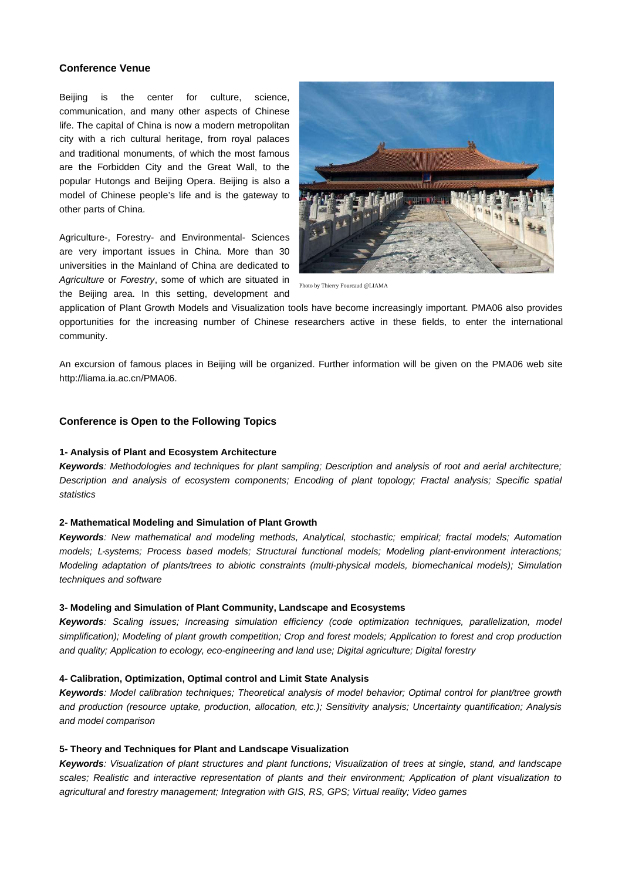#### **Conference Venue**

Beijing is the center for culture, science, communication, and many other aspects of Chinese life. The capital of China is now a modern metropolitan city with a rich cultural heritage, from royal palaces and traditional monuments, of which the most famous are the Forbidden City and the Great Wall, to the popular Hutongs and Beijing Opera. Beijing is also a model of Chinese people's life and is the gateway to other parts of China.

Agriculture-, Forestry- and Environmental- Sciences are very important issues in China. More than 30 universities in the Mainland of China are dedicated to Agriculture or Forestry, some of which are situated in the Beijing area. In this setting, development and



Photo by Thierry Fourcaud @LIAMA

application of Plant Growth Models and Visualization tools have become increasingly important. PMA06 also provides opportunities for the increasing number of Chinese researchers active in these fields, to enter the international community.

An excursion of famous places in Beijing will be organized. Further information will be given on the PMA06 web site http://liama.ia.ac.cn/PMA06.

# **Conference is Open to the Following Topics**

#### **1- Analysis of Plant and Ecosystem Architecture**

**Keywords**: Methodologies and techniques for plant sampling; Description and analysis of root and aerial architecture; Description and analysis of ecosystem components; Encoding of plant topology; Fractal analysis; Specific spatial statistics

# **2- Mathematical Modeling and Simulation of Plant Growth**

**Keywords**: New mathematical and modeling methods, Analytical, stochastic; empirical; fractal models; Automation models; L-systems; Process based models; Structural functional models; Modeling plant-environment interactions; Modeling adaptation of plants/trees to abiotic constraints (multi-physical models, biomechanical models); Simulation techniques and software

#### **3- Modeling and Simulation of Plant Community, Landscape and Ecosystems**

**Keywords**: Scaling issues; Increasing simulation efficiency (code optimization techniques, parallelization, model simplification); Modeling of plant growth competition; Crop and forest models; Application to forest and crop production and quality; Application to ecology, eco-engineering and land use; Digital agriculture; Digital forestry

#### **4- Calibration, Optimization, Optimal control and Limit State Analysis**

**Keywords**: Model calibration techniques; Theoretical analysis of model behavior; Optimal control for plant/tree growth and production (resource uptake, production, allocation, etc.); Sensitivity analysis; Uncertainty quantification; Analysis and model comparison

# **5- Theory and Techniques for Plant and Landscape Visualization**

**Keywords**: Visualization of plant structures and plant functions; Visualization of trees at single, stand, and landscape scales; Realistic and interactive representation of plants and their environment; Application of plant visualization to agricultural and forestry management; Integration with GIS, RS, GPS; Virtual reality; Video games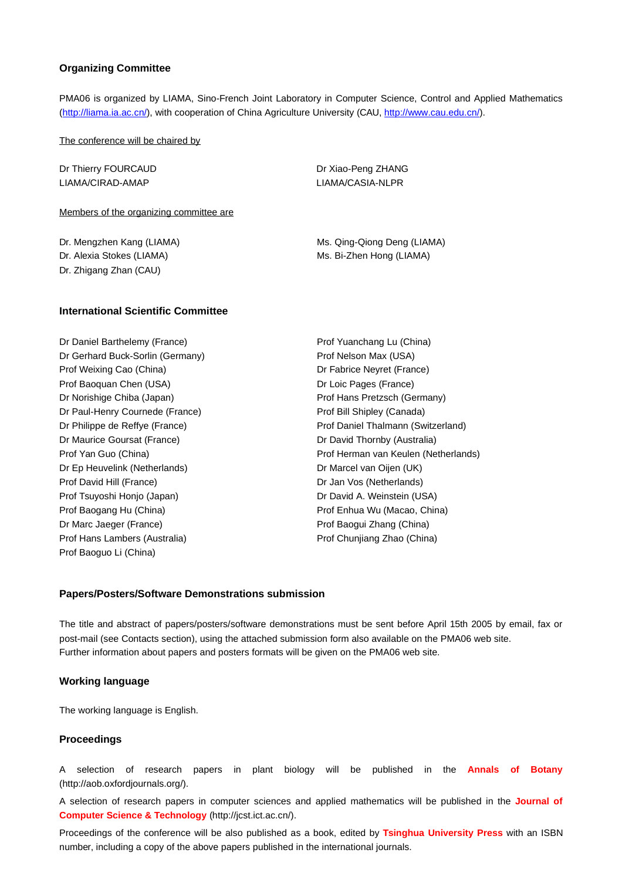### **Organizing Committee**

PMA06 is organized by LIAMA, Sino-French Joint Laboratory in Computer Science, Control and Applied Mathematics (http://liama.ia.ac.cn/), with cooperation of China Agriculture University (CAU, http://www.cau.edu.cn/).

The conference will be chaired by

Dr Thierry FOURCAUD LIAMA/CIRAD-AMAP

Dr Xiao-Peng ZHANG LIAMA/CASIA-NLPR

Members of the organizing committee are

Dr. Mengzhen Kang (LIAMA) Dr. Alexia Stokes (LIAMA) Dr. Zhigang Zhan (CAU)

Ms. Qing-Qiong Deng (LIAMA) Ms. Bi-Zhen Hong (LIAMA)

#### **International Scientific Committee**

Dr Daniel Barthelemy (France) Dr Gerhard Buck-Sorlin (Germany) Prof Weixing Cao (China) Prof Baoquan Chen (USA) Dr Norishige Chiba (Japan) Dr Paul-Henry Cournede (France) Dr Philippe de Reffye (France) Dr Maurice Goursat (France) Prof Yan Guo (China) Dr Ep Heuvelink (Netherlands) Prof David Hill (France) Prof Tsuyoshi Honjo (Japan) Prof Baogang Hu (China) Dr Marc Jaeger (France) Prof Hans Lambers (Australia) Prof Baoguo Li (China)

Prof Yuanchang Lu (China) Prof Nelson Max (USA) Dr Fabrice Neyret (France) Dr Loic Pages (France) Prof Hans Pretzsch (Germany) Prof Bill Shipley (Canada) Prof Daniel Thalmann (Switzerland) Dr David Thornby (Australia) Prof Herman van Keulen (Netherlands) Dr Marcel van Oijen (UK) Dr Jan Vos (Netherlands) Dr David A. Weinstein (USA) Prof Enhua Wu (Macao, China) Prof Baogui Zhang (China) Prof Chunjiang Zhao (China)

#### **Papers/Posters/Software Demonstrations submission**

The title and abstract of papers/posters/software demonstrations must be sent before April 15th 2005 by email, fax or post-mail (see Contacts section), using the attached submission form also available on the PMA06 web site. Further information about papers and posters formats will be given on the PMA06 web site.

# **Working language**

The working language is English.

# **Proceedings**

A selection of research papers in plant biology will be published in the **Annals of Botany** (http://aob.oxfordjournals.org/).

A selection of research papers in computer sciences and applied mathematics will be published in the **Journal of Computer Science & Technology** (http://jcst.ict.ac.cn/).

Proceedings of the conference will be also published as a book, edited by **Tsinghua University Press** with an ISBN number, including a copy of the above papers published in the international journals.